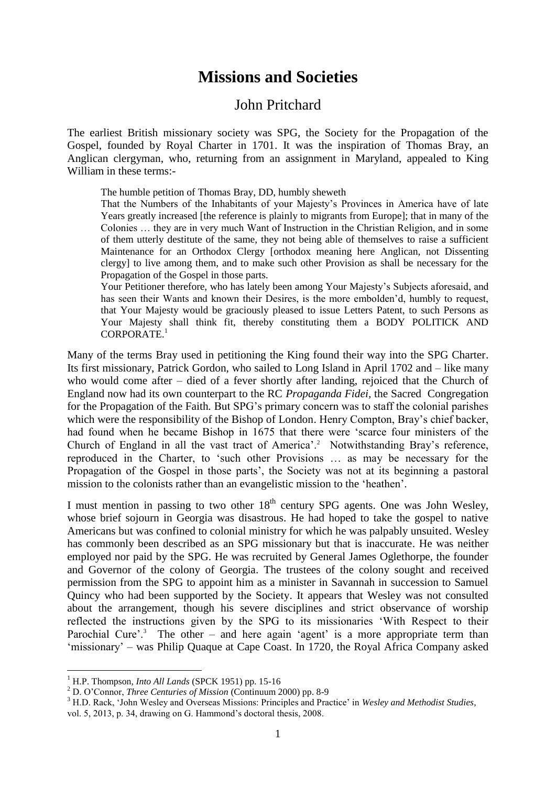## **Missions and Societies**

## John Pritchard

The earliest British missionary society was SPG, the Society for the Propagation of the Gospel, founded by Royal Charter in 1701. It was the inspiration of Thomas Bray, an Anglican clergyman, who, returning from an assignment in Maryland, appealed to King William in these terms:-

The humble petition of Thomas Bray, DD, humbly sheweth

That the Numbers of the Inhabitants of your Majesty's Provinces in America have of late Years greatly increased [the reference is plainly to migrants from Europe]; that in many of the Colonies … they are in very much Want of Instruction in the Christian Religion, and in some of them utterly destitute of the same, they not being able of themselves to raise a sufficient Maintenance for an Orthodox Clergy [orthodox meaning here Anglican, not Dissenting clergy] to live among them, and to make such other Provision as shall be necessary for the Propagation of the Gospel in those parts.

Your Petitioner therefore, who has lately been among Your Majesty's Subjects aforesaid, and has seen their Wants and known their Desires, is the more embolden'd, humbly to request, that Your Majesty would be graciously pleased to issue Letters Patent, to such Persons as Your Majesty shall think fit, thereby constituting them a BODY POLITICK AND CORPORATE<sup>1</sup>

Many of the terms Bray used in petitioning the King found their way into the SPG Charter. Its first missionary, Patrick Gordon, who sailed to Long Island in April 1702 and – like many who would come after – died of a fever shortly after landing, rejoiced that the Church of England now had its own counterpart to the RC *Propaganda Fidei,* the Sacred Congregation for the Propagation of the Faith*.* But SPG's primary concern was to staff the colonial parishes which were the responsibility of the Bishop of London. Henry Compton, Bray's chief backer, had found when he became Bishop in 1675 that there were 'scarce four ministers of the Church of England in all the vast tract of America'.<sup>2</sup> Notwithstanding Bray's reference, reproduced in the Charter, to 'such other Provisions … as may be necessary for the Propagation of the Gospel in those parts', the Society was not at its beginning a pastoral mission to the colonists rather than an evangelistic mission to the 'heathen'.

I must mention in passing to two other  $18<sup>th</sup>$  century SPG agents. One was John Wesley, whose brief sojourn in Georgia was disastrous. He had hoped to take the gospel to native Americans but was confined to colonial ministry for which he was palpably unsuited. Wesley has commonly been described as an SPG missionary but that is inaccurate. He was neither employed nor paid by the SPG. He was recruited by General James Oglethorpe, the founder and Governor of the colony of Georgia. The trustees of the colony sought and received permission from the SPG to appoint him as a minister in Savannah in succession to Samuel Quincy who had been supported by the Society. It appears that Wesley was not consulted about the arrangement, though his severe disciplines and strict observance of worship reflected the instructions given by the SPG to its missionaries 'With Respect to their Parochial Cure'.<sup>3</sup> The other – and here again 'agent' is a more appropriate term than 'missionary' – was Philip Quaque at Cape Coast. In 1720, the Royal Africa Company asked

<sup>1</sup> H.P. Thompson, *Into All Lands* (SPCK 1951) pp. 15-16

<sup>2</sup> D. O'Connor, *Three Centuries of Mission* (Continuum 2000) pp. 8-9

<sup>3</sup> H.D. Rack, 'John Wesley and Overseas Missions: Principles and Practice' in *Wesley and Methodist Studies*,

vol. 5, 2013, p. 34, drawing on G. Hammond's doctoral thesis, 2008.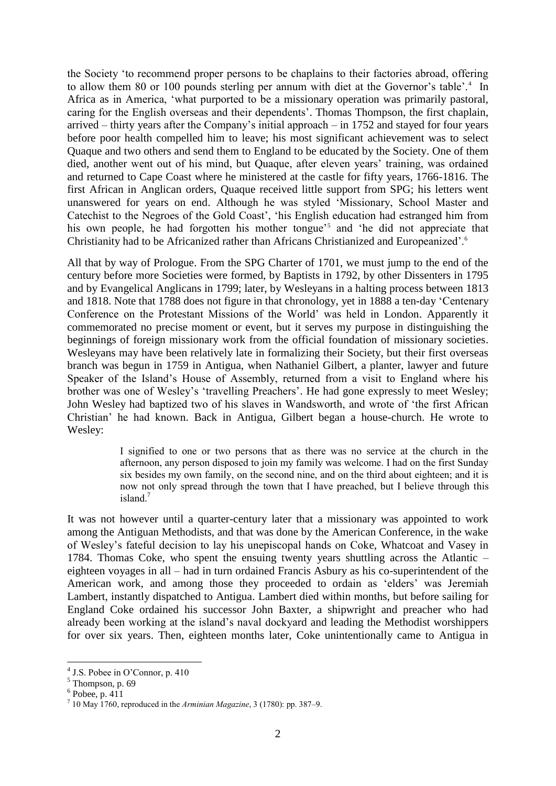the Society 'to recommend proper persons to be chaplains to their factories abroad, offering to allow them 80 or 100 pounds sterling per annum with diet at the Governor's table'.<sup>4</sup> In Africa as in America, 'what purported to be a missionary operation was primarily pastoral, caring for the English overseas and their dependents'. Thomas Thompson, the first chaplain, arrived – thirty years after the Company's initial approach – in 1752 and stayed for four years before poor health compelled him to leave; his most significant achievement was to select Quaque and two others and send them to England to be educated by the Society. One of them died, another went out of his mind, but Quaque, after eleven years' training, was ordained and returned to Cape Coast where he ministered at the castle for fifty years, 1766-1816. The first African in Anglican orders, Quaque received little support from SPG; his letters went unanswered for years on end. Although he was styled 'Missionary, School Master and Catechist to the Negroes of the Gold Coast', 'his English education had estranged him from his own people, he had forgotten his mother tongue<sup>35</sup> and 'he did not appreciate that Christianity had to be Africanized rather than Africans Christianized and Europeanized'.<sup>6</sup>

All that by way of Prologue. From the SPG Charter of 1701, we must jump to the end of the century before more Societies were formed, by Baptists in 1792, by other Dissenters in 1795 and by Evangelical Anglicans in 1799; later, by Wesleyans in a halting process between 1813 and 1818. Note that 1788 does not figure in that chronology, yet in 1888 a ten-day 'Centenary Conference on the Protestant Missions of the World' was held in London. Apparently it commemorated no precise moment or event, but it serves my purpose in distinguishing the beginnings of foreign missionary work from the official foundation of missionary societies. Wesleyans may have been relatively late in formalizing their Society, but their first overseas branch was begun in 1759 in Antigua, when Nathaniel Gilbert, a planter, lawyer and future Speaker of the Island's House of Assembly, returned from a visit to England where his brother was one of Wesley's 'travelling Preachers'. He had gone expressly to meet Wesley; John Wesley had baptized two of his slaves in Wandsworth, and wrote of 'the first African Christian' he had known. Back in Antigua, Gilbert began a house-church. He wrote to Wesley:

> I signified to one or two persons that as there was no service at the church in the afternoon, any person disposed to join my family was welcome. I had on the first Sunday six besides my own family, on the second nine, and on the third about eighteen; and it is now not only spread through the town that I have preached, but I believe through this island $<sup>7</sup>$ </sup>

It was not however until a quarter-century later that a missionary was appointed to work among the Antiguan Methodists, and that was done by the American Conference, in the wake of Wesley's fateful decision to lay his unepiscopal hands on Coke, Whatcoat and Vasey in 1784. Thomas Coke, who spent the ensuing twenty years shuttling across the Atlantic – eighteen voyages in all – had in turn ordained Francis Asbury as his co-superintendent of the American work, and among those they proceeded to ordain as 'elders' was Jeremiah Lambert, instantly dispatched to Antigua. Lambert died within months, but before sailing for England Coke ordained his successor John Baxter, a shipwright and preacher who had already been working at the island's naval dockyard and leading the Methodist worshippers for over six years. Then, eighteen months later, Coke unintentionally came to Antigua in

 4 J.S. Pobee in O'Connor, p. 410

 $5$  Thompson, p. 69

 $6$  Pobee, p. 411

<sup>7</sup> 10 May 1760, reproduced in the *Arminian Magazine*, 3 (1780): pp. 387–9.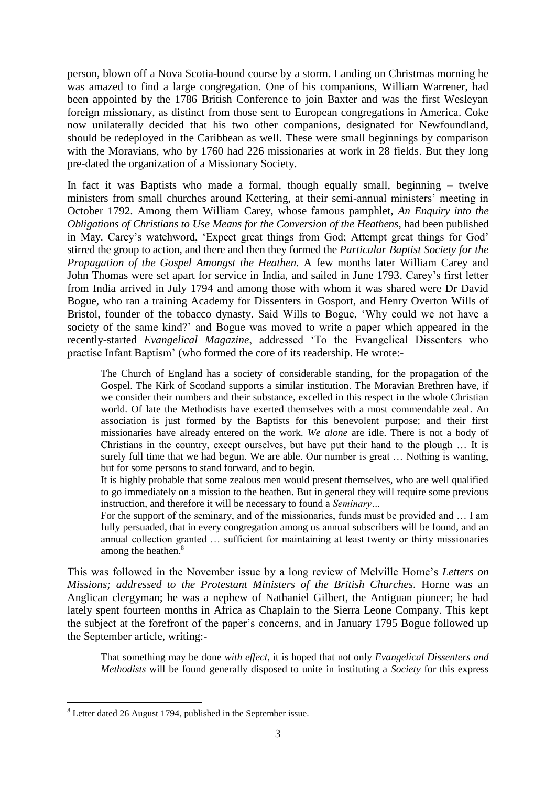person, blown off a Nova Scotia-bound course by a storm. Landing on Christmas morning he was amazed to find a large congregation. One of his companions, William Warrener, had been appointed by the 1786 British Conference to join Baxter and was the first Wesleyan foreign missionary, as distinct from those sent to European congregations in America. Coke now unilaterally decided that his two other companions, designated for Newfoundland, should be redeployed in the Caribbean as well. These were small beginnings by comparison with the Moravians, who by 1760 had 226 missionaries at work in 28 fields. But they long pre-dated the organization of a Missionary Society.

In fact it was Baptists who made a formal, though equally small, beginning – twelve ministers from small churches around Kettering, at their semi-annual ministers' meeting in October 1792. Among them William Carey, whose famous pamphlet, *An Enquiry into the Obligations of Christians to Use Means for the Conversion of the Heathens*, had been published in May. Carey's watchword, 'Expect great things from God; Attempt great things for God' stirred the group to action, and there and then they formed the *Particular Baptist Society for the Propagation of the Gospel Amongst the Heathen.* A few months later William Carey and John Thomas were set apart for service in India, and sailed in June 1793. Carey's first letter from India arrived in July 1794 and among those with whom it was shared were Dr David Bogue, who ran a training Academy for Dissenters in Gosport, and Henry Overton Wills of Bristol, founder of the tobacco dynasty. Said Wills to Bogue, 'Why could we not have a society of the same kind?' and Bogue was moved to write a paper which appeared in the recently-started *Evangelical Magazine*, addressed 'To the Evangelical Dissenters who practise Infant Baptism' (who formed the core of its readership. He wrote:-

The Church of England has a society of considerable standing, for the propagation of the Gospel. The Kirk of Scotland supports a similar institution. The Moravian Brethren have, if we consider their numbers and their substance, excelled in this respect in the whole Christian world. Of late the Methodists have exerted themselves with a most commendable zeal. An association is just formed by the Baptists for this benevolent purpose; and their first missionaries have already entered on the work. *We alone* are idle. There is not a body of Christians in the country, except ourselves, but have put their hand to the plough … It is surely full time that we had begun. We are able. Our number is great … Nothing is wanting, but for some persons to stand forward, and to begin.

It is highly probable that some zealous men would present themselves, who are well qualified to go immediately on a mission to the heathen. But in general they will require some previous instruction, and therefore it will be necessary to found a *Seminary…*

For the support of the seminary, and of the missionaries, funds must be provided and … I am fully persuaded, that in every congregation among us annual subscribers will be found, and an annual collection granted … sufficient for maintaining at least twenty or thirty missionaries among the heathen.<sup>8</sup>

This was followed in the November issue by a long review of Melville Horne's *Letters on Missions; addressed to the Protestant Ministers of the British Churches. Horne was an* Anglican clergyman; he was a nephew of Nathaniel Gilbert, the Antiguan pioneer; he had lately spent fourteen months in Africa as Chaplain to the Sierra Leone Company. This kept the subject at the forefront of the paper's concerns, and in January 1795 Bogue followed up the September article, writing:-

That something may be done *with effect*, it is hoped that not only *Evangelical Dissenters and Methodists* will be found generally disposed to unite in instituting a *Society* for this express

<sup>8</sup> Letter dated 26 August 1794, published in the September issue.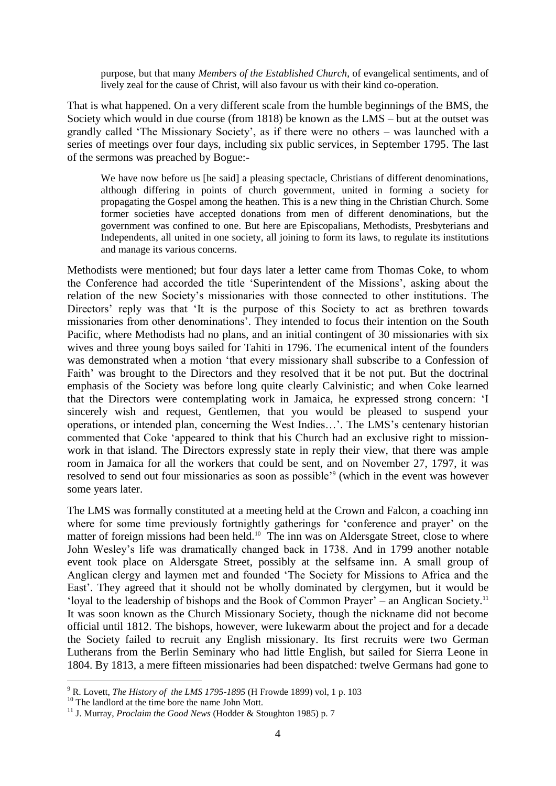purpose, but that many *Members of the Established Church*, of evangelical sentiments, and of lively zeal for the cause of Christ, will also favour us with their kind co-operation.

That is what happened. On a very different scale from the humble beginnings of the BMS, the Society which would in due course (from 1818) be known as the LMS – but at the outset was grandly called 'The Missionary Society', as if there were no others – was launched with a series of meetings over four days, including six public services, in September 1795. The last of the sermons was preached by Bogue:-

We have now before us [he said] a pleasing spectacle, Christians of different denominations, although differing in points of church government, united in forming a society for propagating the Gospel among the heathen. This is a new thing in the Christian Church. Some former societies have accepted donations from men of different denominations, but the government was confined to one. But here are Episcopalians, Methodists, Presbyterians and Independents, all united in one society, all joining to form its laws, to regulate its institutions and manage its various concerns.

Methodists were mentioned; but four days later a letter came from Thomas Coke, to whom the Conference had accorded the title 'Superintendent of the Missions', asking about the relation of the new Society's missionaries with those connected to other institutions. The Directors' reply was that 'It is the purpose of this Society to act as brethren towards missionaries from other denominations'. They intended to focus their intention on the South Pacific, where Methodists had no plans, and an initial contingent of 30 missionaries with six wives and three young boys sailed for Tahiti in 1796. The ecumenical intent of the founders was demonstrated when a motion 'that every missionary shall subscribe to a Confession of Faith' was brought to the Directors and they resolved that it be not put. But the doctrinal emphasis of the Society was before long quite clearly Calvinistic; and when Coke learned that the Directors were contemplating work in Jamaica, he expressed strong concern: 'I sincerely wish and request, Gentlemen, that you would be pleased to suspend your operations, or intended plan, concerning the West Indies…'. The LMS's centenary historian commented that Coke 'appeared to think that his Church had an exclusive right to missionwork in that island. The Directors expressly state in reply their view, that there was ample room in Jamaica for all the workers that could be sent, and on November 27, 1797, it was resolved to send out four missionaries as soon as possible<sup>39</sup> (which in the event was however some years later.

The LMS was formally constituted at a meeting held at the Crown and Falcon, a coaching inn where for some time previously fortnightly gatherings for 'conference and prayer' on the matter of foreign missions had been held.<sup>10</sup> The inn was on Aldersgate Street, close to where John Wesley's life was dramatically changed back in 1738. And in 1799 another notable event took place on Aldersgate Street, possibly at the selfsame inn. A small group of Anglican clergy and laymen met and founded 'The Society for Missions to Africa and the East'. They agreed that it should not be wholly dominated by clergymen, but it would be 'loyal to the leadership of bishops and the Book of Common Prayer' – an Anglican Society.<sup>11</sup> It was soon known as the Church Missionary Society, though the nickname did not become official until 1812. The bishops, however, were lukewarm about the project and for a decade the Society failed to recruit any English missionary. Its first recruits were two German Lutherans from the Berlin Seminary who had little English, but sailed for Sierra Leone in 1804. By 1813, a mere fifteen missionaries had been dispatched: twelve Germans had gone to

<u>.</u>

<sup>9</sup> R. Lovett, *The History of the LMS 1795-1895* (H Frowde 1899) vol, 1 p. 103

<sup>&</sup>lt;sup>10</sup> The landlord at the time bore the name John Mott.

<sup>11</sup> J. Murray, *Proclaim the Good News* (Hodder & Stoughton 1985) p. 7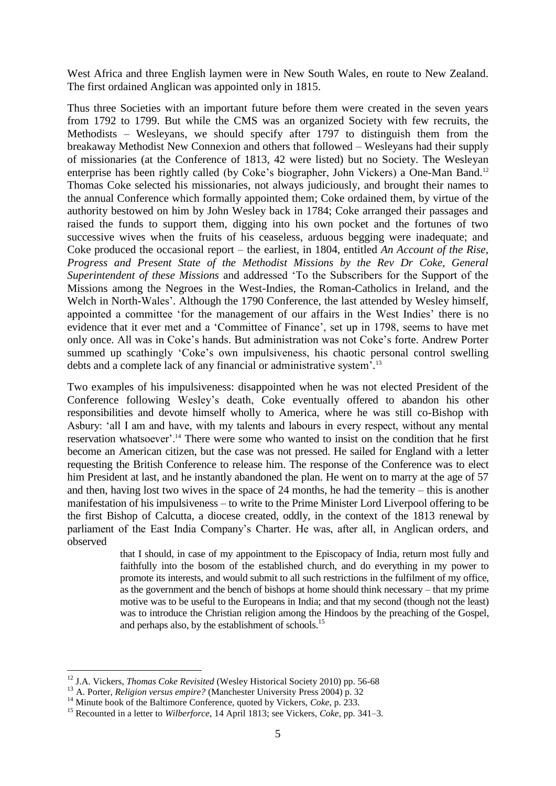West Africa and three English laymen were in New South Wales, en route to New Zealand. The first ordained Anglican was appointed only in 1815.

Thus three Societies with an important future before them were created in the seven years from 1792 to 1799. But while the CMS was an organized Society with few recruits, the Methodists – Wesleyans, we should specify after 1797 to distinguish them from the breakaway Methodist New Connexion and others that followed – Wesleyans had their supply of missionaries (at the Conference of 1813, 42 were listed) but no Society. The Wesleyan enterprise has been rightly called (by Coke's biographer, John Vickers) a One-Man Band.<sup>12</sup> Thomas Coke selected his missionaries, not always judiciously, and brought their names to the annual Conference which formally appointed them; Coke ordained them, by virtue of the authority bestowed on him by John Wesley back in 1784; Coke arranged their passages and raised the funds to support them, digging into his own pocket and the fortunes of two successive wives when the fruits of his ceaseless, arduous begging were inadequate; and Coke produced the occasional report – the earliest, in 1804, entitled *An Account of the Rise, Progress and Present State of the Methodist Missions by the Rev Dr Coke, General Superintendent of these Missions* and addressed 'To the Subscribers for the Support of the Missions among the Negroes in the West-Indies, the Roman-Catholics in Ireland, and the Welch in North-Wales'. Although the 1790 Conference, the last attended by Wesley himself, appointed a committee 'for the management of our affairs in the West Indies' there is no evidence that it ever met and a 'Committee of Finance', set up in 1798, seems to have met only once. All was in Coke's hands. But administration was not Coke's forte. Andrew Porter summed up scathingly 'Coke's own impulsiveness, his chaotic personal control swelling debts and a complete lack of any financial or administrative system'. 13

Two examples of his impulsiveness: disappointed when he was not elected President of the Conference following Wesley's death, Coke eventually offered to abandon his other responsibilities and devote himself wholly to America, where he was still co-Bishop with Asbury: 'all I am and have, with my talents and labours in every respect, without any mental reservation whatsoever'.<sup>14</sup> There were some who wanted to insist on the condition that he first become an American citizen, but the case was not pressed. He sailed for England with a letter requesting the British Conference to release him. The response of the Conference was to elect him President at last, and he instantly abandoned the plan. He went on to marry at the age of 57 and then, having lost two wives in the space of 24 months, he had the temerity – this is another manifestation of his impulsiveness – to write to the Prime Minister Lord Liverpool offering to be the first Bishop of Calcutta, a diocese created, oddly, in the context of the 1813 renewal by parliament of the East India Company's Charter. He was, after all, in Anglican orders, and observed

> that I should, in case of my appointment to the Episcopacy of India, return most fully and faithfully into the bosom of the established church, and do everything in my power to promote its interests, and would submit to all such restrictions in the fulfilment of my office, as the government and the bench of bishops at home should think necessary – that my prime motive was to be useful to the Europeans in India; and that my second (though not the least) was to introduce the Christian religion among the Hindoos by the preaching of the Gospel, and perhaps also, by the establishment of schools.<sup>15</sup>

<sup>&</sup>lt;sup>12</sup> J.A. Vickers, *Thomas Coke Revisited* (Wesley Historical Society 2010) pp. 56-68

<sup>13</sup> A. Porter, *Religion versus empire?* (Manchester University Press 2004) p. 32

<sup>&</sup>lt;sup>14</sup> Minute book of the Baltimore Conference, quoted by Vickers, *Coke*, p. 233.

<sup>15</sup> Recounted in a letter to *Wilberforce*, 14 April 1813; see Vickers, *Coke,* pp*.* 341–3.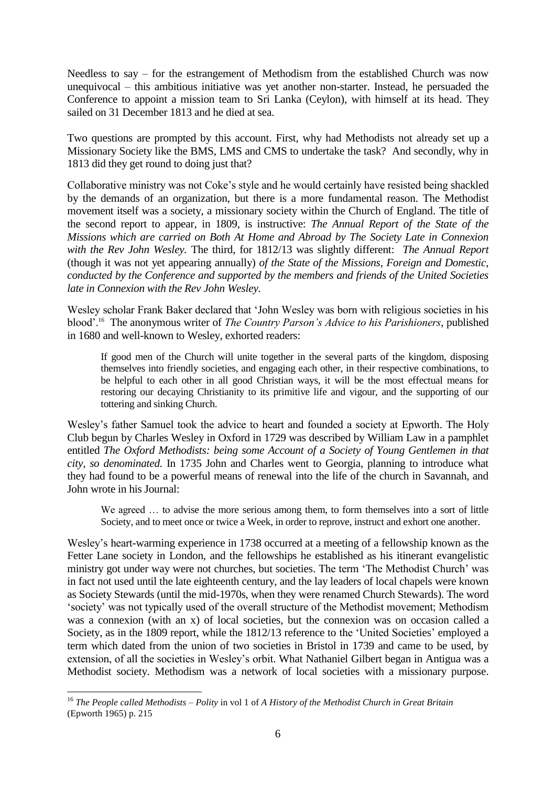Needless to say – for the estrangement of Methodism from the established Church was now unequivocal – this ambitious initiative was yet another non-starter. Instead, he persuaded the Conference to appoint a mission team to Sri Lanka (Ceylon), with himself at its head. They sailed on 31 December 1813 and he died at sea.

Two questions are prompted by this account. First, why had Methodists not already set up a Missionary Society like the BMS, LMS and CMS to undertake the task? And secondly, why in 1813 did they get round to doing just that?

Collaborative ministry was not Coke's style and he would certainly have resisted being shackled by the demands of an organization, but there is a more fundamental reason. The Methodist movement itself was a society, a missionary society within the Church of England. The title of the second report to appear, in 1809, is instructive: *The Annual Report of the State of the Missions which are carried on Both At Home and Abroad by The Society Late in Connexion with the Rev John Wesley.* The third, for 1812/13 was slightly different: *The Annual Report*  (though it was not yet appearing annually) *of the State of the Missions, Foreign and Domestic, conducted by the Conference and supported by the members and friends of the United Societies late in Connexion with the Rev John Wesley.*

Wesley scholar Frank Baker declared that 'John Wesley was born with religious societies in his blood'.<sup>16</sup> The anonymous writer of *The Country Parson's Advice to his Parishioners*, published in 1680 and well-known to Wesley, exhorted readers:

If good men of the Church will unite together in the several parts of the kingdom, disposing themselves into friendly societies, and engaging each other, in their respective combinations, to be helpful to each other in all good Christian ways, it will be the most effectual means for restoring our decaying Christianity to its primitive life and vigour, and the supporting of our tottering and sinking Church.

Wesley's father Samuel took the advice to heart and founded a society at Epworth. The Holy Club begun by Charles Wesley in Oxford in 1729 was described by William Law in a pamphlet entitled *The Oxford Methodists: being some Account of a Society of Young Gentlemen in that city, so denominated.* In 1735 John and Charles went to Georgia, planning to introduce what they had found to be a powerful means of renewal into the life of the church in Savannah, and John wrote in his Journal:

We agreed … to advise the more serious among them, to form themselves into a sort of little Society, and to meet once or twice a Week, in order to reprove, instruct and exhort one another.

Wesley's heart-warming experience in 1738 occurred at a meeting of a fellowship known as the Fetter Lane society in London, and the fellowships he established as his itinerant evangelistic ministry got under way were not churches, but societies. The term 'The Methodist Church' was in fact not used until the late eighteenth century, and the lay leaders of local chapels were known as Society Stewards (until the mid-1970s, when they were renamed Church Stewards). The word 'society' was not typically used of the overall structure of the Methodist movement; Methodism was a connexion (with an x) of local societies, but the connexion was on occasion called a Society, as in the 1809 report, while the 1812/13 reference to the 'United Societies' employed a term which dated from the union of two societies in Bristol in 1739 and came to be used, by extension, of all the societies in Wesley's orbit. What Nathaniel Gilbert began in Antigua was a Methodist society. Methodism was a network of local societies with a missionary purpose.

<sup>1</sup> <sup>16</sup> *The People called Methodists – Polity* in vol 1 of *A History of the Methodist Church in Great Britain*  (Epworth 1965) p. 215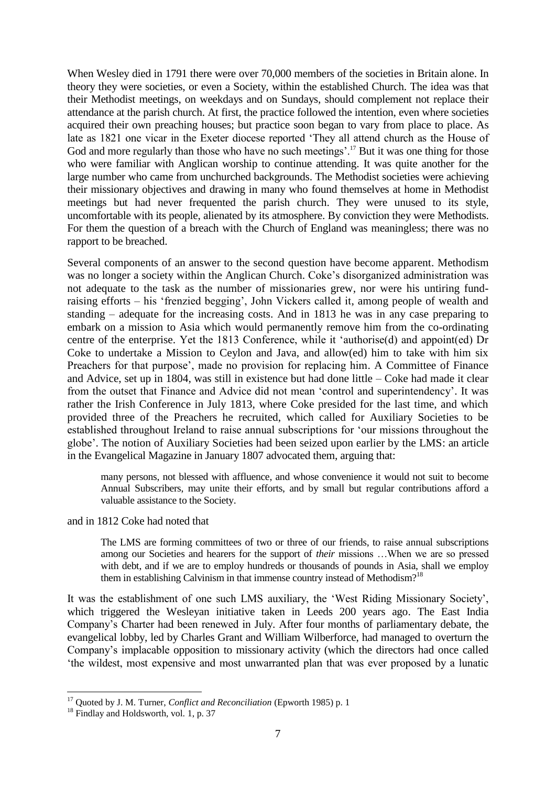When Wesley died in 1791 there were over 70,000 members of the societies in Britain alone. In theory they were societies, or even a Society, within the established Church. The idea was that their Methodist meetings, on weekdays and on Sundays, should complement not replace their attendance at the parish church. At first, the practice followed the intention, even where societies acquired their own preaching houses; but practice soon began to vary from place to place. As late as 1821 one vicar in the Exeter diocese reported 'They all attend church as the House of God and more regularly than those who have no such meetings'.<sup>17</sup> But it was one thing for those who were familiar with Anglican worship to continue attending. It was quite another for the large number who came from unchurched backgrounds. The Methodist societies were achieving their missionary objectives and drawing in many who found themselves at home in Methodist meetings but had never frequented the parish church. They were unused to its style, uncomfortable with its people, alienated by its atmosphere. By conviction they were Methodists. For them the question of a breach with the Church of England was meaningless; there was no rapport to be breached.

Several components of an answer to the second question have become apparent. Methodism was no longer a society within the Anglican Church. Coke's disorganized administration was not adequate to the task as the number of missionaries grew, nor were his untiring fundraising efforts – his 'frenzied begging', John Vickers called it, among people of wealth and standing – adequate for the increasing costs. And in 1813 he was in any case preparing to embark on a mission to Asia which would permanently remove him from the co-ordinating centre of the enterprise. Yet the 1813 Conference, while it 'authorise(d) and appoint(ed) Dr Coke to undertake a Mission to Ceylon and Java, and allow(ed) him to take with him six Preachers for that purpose', made no provision for replacing him. A Committee of Finance and Advice, set up in 1804, was still in existence but had done little – Coke had made it clear from the outset that Finance and Advice did not mean 'control and superintendency'. It was rather the Irish Conference in July 1813, where Coke presided for the last time, and which provided three of the Preachers he recruited, which called for Auxiliary Societies to be established throughout Ireland to raise annual subscriptions for 'our missions throughout the globe'. The notion of Auxiliary Societies had been seized upon earlier by the LMS: an article in the Evangelical Magazine in January 1807 advocated them, arguing that:

many persons, not blessed with affluence, and whose convenience it would not suit to become Annual Subscribers, may unite their efforts, and by small but regular contributions afford a valuable assistance to the Society.

## and in 1812 Coke had noted that

The LMS are forming committees of two or three of our friends, to raise annual subscriptions among our Societies and hearers for the support of *their* missions …When we are so pressed with debt, and if we are to employ hundreds or thousands of pounds in Asia, shall we employ them in establishing Calvinism in that immense country instead of Methodism?<sup>18</sup>

It was the establishment of one such LMS auxiliary, the 'West Riding Missionary Society', which triggered the Wesleyan initiative taken in Leeds 200 years ago. The East India Company's Charter had been renewed in July. After four months of parliamentary debate, the evangelical lobby, led by Charles Grant and William Wilberforce, had managed to overturn the Company's implacable opposition to missionary activity (which the directors had once called 'the wildest, most expensive and most unwarranted plan that was ever proposed by a lunatic

<sup>&</sup>lt;sup>17</sup> Quoted by J. M. Turner, *Conflict and Reconciliation* (Epworth 1985) p. 1

<sup>&</sup>lt;sup>18</sup> Findlay and Holdsworth, vol. 1, p. 37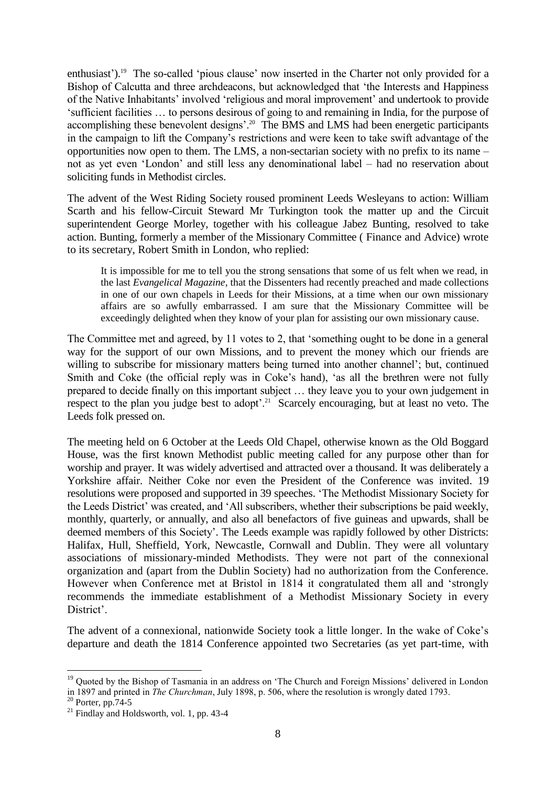enthusiast').<sup>19</sup> The so-called 'pious clause' now inserted in the Charter not only provided for a Bishop of Calcutta and three archdeacons, but acknowledged that 'the Interests and Happiness of the Native Inhabitants' involved 'religious and moral improvement' and undertook to provide 'sufficient facilities … to persons desirous of going to and remaining in India, for the purpose of accomplishing these benevolent designs'.<sup>20</sup> The BMS and LMS had been energetic participants in the campaign to lift the Company's restrictions and were keen to take swift advantage of the opportunities now open to them. The LMS, a non-sectarian society with no prefix to its name – not as yet even 'London' and still less any denominational label – had no reservation about soliciting funds in Methodist circles.

The advent of the West Riding Society roused prominent Leeds Wesleyans to action: William Scarth and his fellow-Circuit Steward Mr Turkington took the matter up and the Circuit superintendent George Morley, together with his colleague Jabez Bunting, resolved to take action. Bunting, formerly a member of the Missionary Committee ( Finance and Advice) wrote to its secretary, Robert Smith in London, who replied:

It is impossible for me to tell you the strong sensations that some of us felt when we read, in the last *Evangelical Magazine*, that the Dissenters had recently preached and made collections in one of our own chapels in Leeds for their Missions, at a time when our own missionary affairs are so awfully embarrassed. I am sure that the Missionary Committee will be exceedingly delighted when they know of your plan for assisting our own missionary cause.

The Committee met and agreed, by 11 votes to 2, that 'something ought to be done in a general way for the support of our own Missions, and to prevent the money which our friends are willing to subscribe for missionary matters being turned into another channel'; but, continued Smith and Coke (the official reply was in Coke's hand), 'as all the brethren were not fully prepared to decide finally on this important subject … they leave you to your own judgement in respect to the plan you judge best to adopt'.<sup>21</sup> Scarcely encouraging, but at least no veto. The Leeds folk pressed on.

The meeting held on 6 October at the Leeds Old Chapel, otherwise known as the Old Boggard House, was the first known Methodist public meeting called for any purpose other than for worship and prayer. It was widely advertised and attracted over a thousand. It was deliberately a Yorkshire affair. Neither Coke nor even the President of the Conference was invited. 19 resolutions were proposed and supported in 39 speeches. 'The Methodist Missionary Society for the Leeds District' was created, and 'All subscribers, whether their subscriptions be paid weekly, monthly, quarterly, or annually, and also all benefactors of five guineas and upwards, shall be deemed members of this Society'. The Leeds example was rapidly followed by other Districts: Halifax, Hull, Sheffield, York, Newcastle, Cornwall and Dublin. They were all voluntary associations of missionary-minded Methodists. They were not part of the connexional organization and (apart from the Dublin Society) had no authorization from the Conference. However when Conference met at Bristol in 1814 it congratulated them all and 'strongly recommends the immediate establishment of a Methodist Missionary Society in every District'.

The advent of a connexional, nationwide Society took a little longer. In the wake of Coke's departure and death the 1814 Conference appointed two Secretaries (as yet part-time, with

<sup>&</sup>lt;sup>19</sup> Quoted by the Bishop of Tasmania in an address on 'The Church and Foreign Missions' delivered in London in 1897 and printed in *The Churchman*, July 1898, p. 506, where the resolution is wrongly dated 1793.

 $20$  Porter, pp.74-5

<sup>&</sup>lt;sup>21</sup> Findlay and Holdsworth, vol. 1, pp. 43-4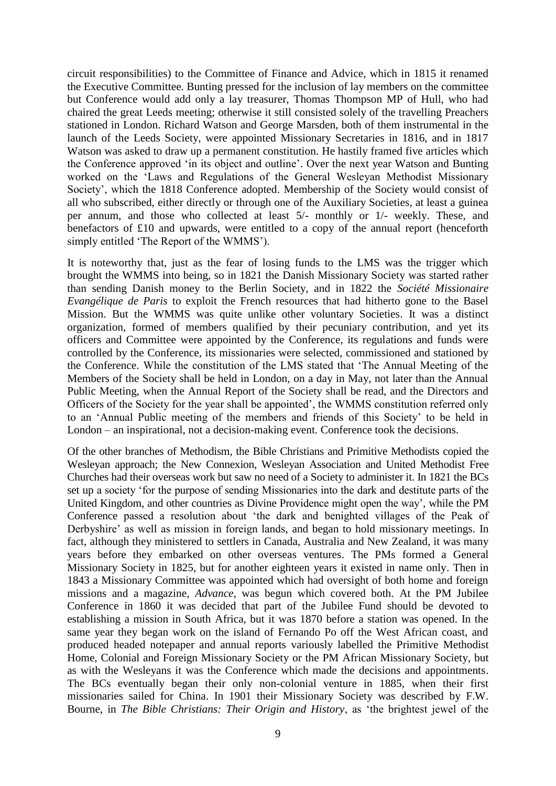circuit responsibilities) to the Committee of Finance and Advice, which in 1815 it renamed the Executive Committee. Bunting pressed for the inclusion of lay members on the committee but Conference would add only a lay treasurer, Thomas Thompson MP of Hull, who had chaired the great Leeds meeting; otherwise it still consisted solely of the travelling Preachers stationed in London. Richard Watson and George Marsden, both of them instrumental in the launch of the Leeds Society, were appointed Missionary Secretaries in 1816, and in 1817 Watson was asked to draw up a permanent constitution. He hastily framed five articles which the Conference approved 'in its object and outline'. Over the next year Watson and Bunting worked on the 'Laws and Regulations of the General Wesleyan Methodist Missionary Society', which the 1818 Conference adopted. Membership of the Society would consist of all who subscribed, either directly or through one of the Auxiliary Societies, at least a guinea per annum, and those who collected at least 5/- monthly or 1/- weekly. These, and benefactors of £10 and upwards, were entitled to a copy of the annual report (henceforth simply entitled 'The Report of the WMMS').

It is noteworthy that, just as the fear of losing funds to the LMS was the trigger which brought the WMMS into being, so in 1821 the Danish Missionary Society was started rather than sending Danish money to the Berlin Society, and in 1822 the *Société Missionaire Evangélique de Paris* to exploit the French resources that had hitherto gone to the Basel Mission. But the WMMS was quite unlike other voluntary Societies. It was a distinct organization, formed of members qualified by their pecuniary contribution, and yet its officers and Committee were appointed by the Conference, its regulations and funds were controlled by the Conference, its missionaries were selected, commissioned and stationed by the Conference. While the constitution of the LMS stated that 'The Annual Meeting of the Members of the Society shall be held in London, on a day in May, not later than the Annual Public Meeting, when the Annual Report of the Society shall be read, and the Directors and Officers of the Society for the year shall be appointed', the WMMS constitution referred only to an 'Annual Public meeting of the members and friends of this Society' to be held in London – an inspirational, not a decision-making event. Conference took the decisions.

Of the other branches of Methodism, the Bible Christians and Primitive Methodists copied the Wesleyan approach; the New Connexion, Wesleyan Association and United Methodist Free Churches had their overseas work but saw no need of a Society to administer it. In 1821 the BCs set up a society 'for the purpose of sending Missionaries into the dark and destitute parts of the United Kingdom, and other countries as Divine Providence might open the way', while the PM Conference passed a resolution about 'the dark and benighted villages of the Peak of Derbyshire' as well as mission in foreign lands, and began to hold missionary meetings. In fact, although they ministered to settlers in Canada, Australia and New Zealand, it was many years before they embarked on other overseas ventures. The PMs formed a General Missionary Society in 1825, but for another eighteen years it existed in name only. Then in 1843 a Missionary Committee was appointed which had oversight of both home and foreign missions and a magazine, *Advance,* was begun which covered both. At the PM Jubilee Conference in 1860 it was decided that part of the Jubilee Fund should be devoted to establishing a mission in South Africa, but it was 1870 before a station was opened. In the same year they began work on the island of Fernando Po off the West African coast, and produced headed notepaper and annual reports variously labelled the Primitive Methodist Home, Colonial and Foreign Missionary Society or the PM African Missionary Society, but as with the Wesleyans it was the Conference which made the decisions and appointments. The BCs eventually began their only non-colonial venture in 1885, when their first missionaries sailed for China. In 1901 their Missionary Society was described by F.W. Bourne, in *The Bible Christians: Their Origin and History*, as 'the brightest jewel of the